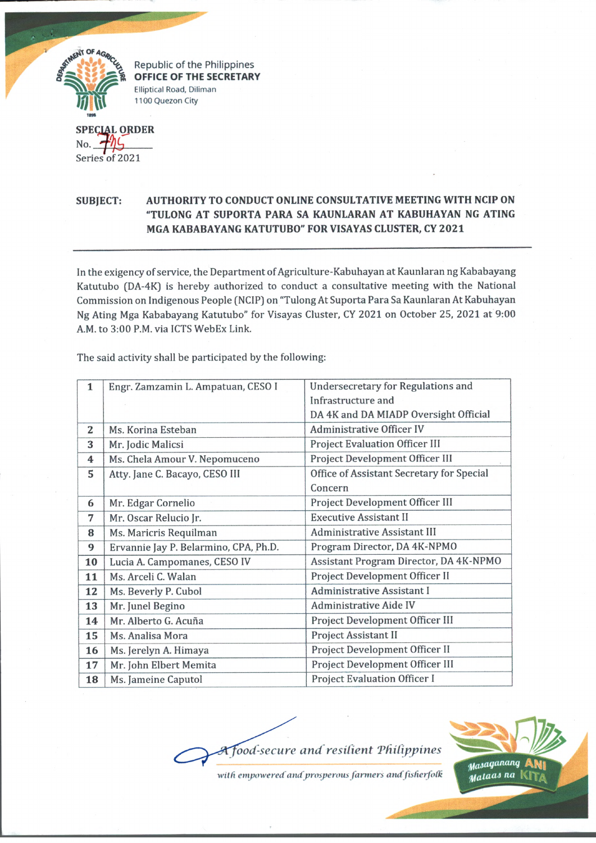

Republic of the Philippines OFFICE OF THE SECRETARY Elliptical Road, Diliman 1100 Quezon City

**ECJAL SPE OJIDER A**<br>Series of 2021 No **6 --------**

## **SUBJECT: AUTHORITY TO CONDUCT ONLINE CONSULTATIVE MEETING WITH NCIP ON "TULONG AT SUPORTA PARA SA KAUNLARAN AT KABUHAYAN NG ATING MGA KABABAYANG KATUTUBO" FOR VISAYAS CLUSTER, CY 2021**

In the exigency of service, the Department of Agriculture-Kabuhayan at Kaunlaran ng Kababayang Katutubo (DA-4K) is hereby authorized to conduct a consultative meeting with the National Commission on Indigenous People (NCIP) on "Tulong At Suporta Para Sa Kaunlaran At Kabuhayan Ng Ating Mga Kababayang Katutubo" for Visayas Cluster, CY 2021 on October 25, 2021 at 9:00 A.M. to 3:00 P.M. via 1CTS WebEx Link.

| $\mathbf{1}$ | Engr. Zamzamin L. Ampatuan, CESO I    | <b>Undersecretary for Regulations and</b> |
|--------------|---------------------------------------|-------------------------------------------|
|              |                                       | Infrastructure and                        |
|              |                                       | DA 4K and DA MIADP Oversight Official     |
| 2            | Ms. Korina Esteban                    | <b>Administrative Officer IV</b>          |
| 3            | Mr. Jodic Malicsi                     | <b>Project Evaluation Officer III</b>     |
| 4            | Ms. Chela Amour V. Nepomuceno         | Project Development Officer III           |
| 5            | Atty. Jane C. Bacayo, CESO III        | Office of Assistant Secretary for Special |
|              |                                       | Concern                                   |
| 6            | Mr. Edgar Cornelio                    | Project Development Officer III           |
| 7            | Mr. Oscar Relucio Jr.                 | <b>Executive Assistant II</b>             |
| 8            | Ms. Maricris Requilman                | <b>Administrative Assistant III</b>       |
| 9            | Ervannie Jay P. Belarmino, CPA, Ph.D. | Program Director, DA 4K-NPMO              |
| 10           | Lucia A. Campomanes, CESO IV          | Assistant Program Director, DA 4K-NPMO    |
| 11           | Ms. Arceli C. Walan                   | Project Development Officer II            |
| 12           | Ms. Beverly P. Cubol                  | Administrative Assistant I                |
| 13           | Mr. Junel Begino                      | <b>Administrative Aide IV</b>             |
| 14           | Mr. Alberto G. Acuña                  | Project Development Officer III           |
| 15           | Ms. Analisa Mora                      | Project Assistant II                      |
| 16           | Ms. Jerelyn A. Himaya                 | Project Development Officer II            |
| 17           | Mr. John Elbert Memita                | Project Development Officer III           |
| 18           | Ms. Jameine Caputol                   | <b>Project Evaluation Officer I</b>       |

The said activity shall be participated by the following:

**Tood-secure and resilient Philippines** 



with empowered and prosperous farmers and fisherfolk